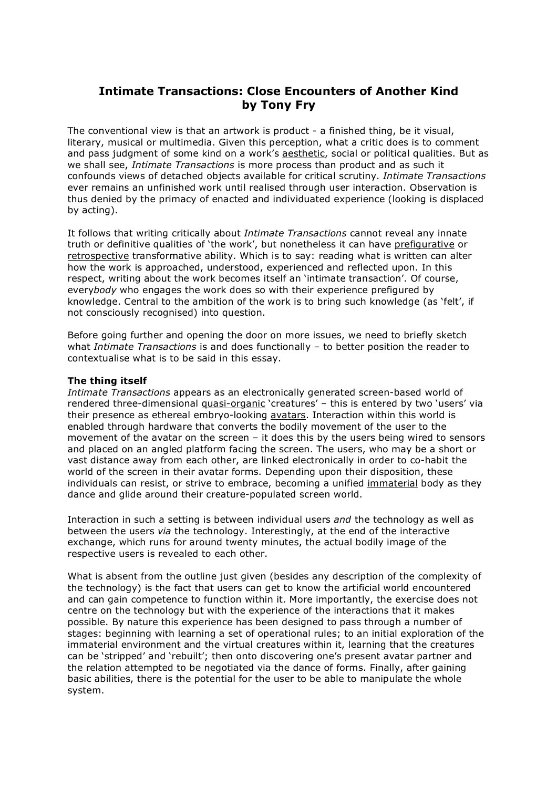# **Intimate Transactions: Close Encounters of Another Kind by Tony Fry**

The conventional view is that an artwork is product - a finished thing, be it visual, literary, musical or multimedia. Given this perception, what a critic does is to comment and pass judgment of some kind on a work's aesthetic, social or political qualities. But as we shall see, *Intimate Transactions* is more process than product and as such it confounds views of detached objects available for critical scrutiny. *Intimate Transactions* ever remains an unfinished work until realised through user interaction. Observation is thus denied by the primacy of enacted and individuated experience (looking is displaced by acting).

It follows that writing critically about *Intimate Transactions* cannot reveal any innate truth or definitive qualities of 'the work', but nonetheless it can have prefigurative or retrospective transformative ability. Which is to say: reading what is written can alter how the work is approached, understood, experienced and reflected upon. In this respect, writing about the work becomes itself an 'intimate transaction'. Of course, every*body* who engages the work does so with their experience prefigured by knowledge. Central to the ambition of the work is to bring such knowledge (as 'felt', if not consciously recognised) into question.

Before going further and opening the door on more issues, we need to briefly sketch what *Intimate Transactions* is and does functionally – to better position the reader to contextualise what is to be said in this essay.

### **The thing itself**

*Intimate Transactions* appears as an electronically generated screen-based world of rendered three-dimensional quasi-organic 'creatures' - this is entered by two 'users' via their presence as ethereal embryo-looking avatars. Interaction within this world is enabled through hardware that converts the bodily movement of the user to the movement of the avatar on the screen – it does this by the users being wired to sensors and placed on an angled platform facing the screen. The users, who may be a short or vast distance away from each other, are linked electronically in order to co-habit the world of the screen in their avatar forms. Depending upon their disposition, these individuals can resist, or strive to embrace, becoming a unified immaterial body as they dance and glide around their creature-populated screen world.

Interaction in such a setting is between individual users *and* the technology as well as between the users *via* the technology. Interestingly, at the end of the interactive exchange, which runs for around twenty minutes, the actual bodily image of the respective users is revealed to each other.

What is absent from the outline just given (besides any description of the complexity of the technology) is the fact that users can get to know the artificial world encountered and can gain competence to function within it. More importantly, the exercise does not centre on the technology but with the experience of the interactions that it makes possible. By nature this experience has been designed to pass through a number of stages: beginning with learning a set of operational rules; to an initial exploration of the immaterial environment and the virtual creatures within it, learning that the creatures can be 'stripped' and 'rebuilt'; then onto discovering one's present avatar partner and the relation attempted to be negotiated via the dance of forms. Finally, after gaining basic abilities, there is the potential for the user to be able to manipulate the whole system.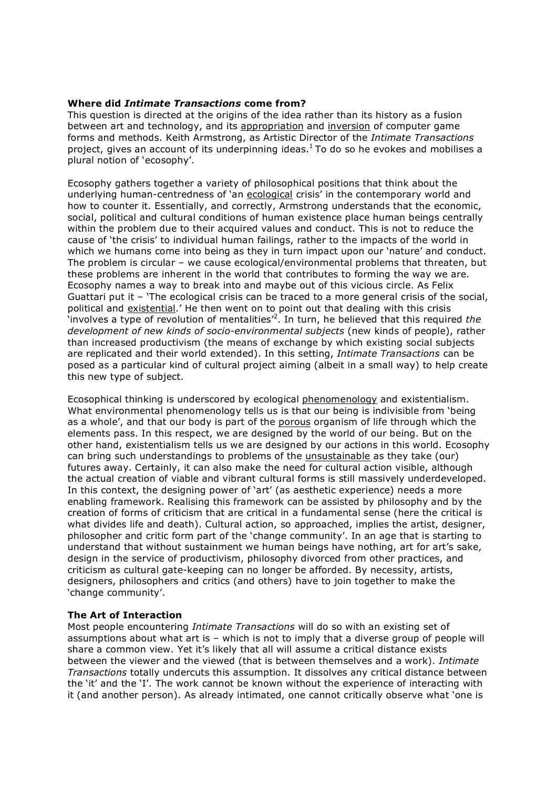## **Where did** *Intimate Transactions* **come from?**

This question is directed at the origins of the idea rather than its history as a fusion between art and technology, and its appropriation and inversion of computer game forms and methods. Keith Armstrong, as Artistic Director of the *Intimate Transactions* project, gives an account of its underpinning ideas.<sup>1</sup> To do so he evokes and mobilises a plural notion of 'ecosophy'.

Ecosophy gathers together a variety of philosophical positions that think about the underlying human-centredness of 'an ecological crisis' in the contemporary world and how to counter it. Essentially, and correctly, Armstrong understands that the economic, social, political and cultural conditions of human existence place human beings centrally within the problem due to their acquired values and conduct. This is not to reduce the cause of 'the crisis' to individual human failings, rather to the impacts of the world in which we humans come into being as they in turn impact upon our 'nature' and conduct. The problem is circular – we cause ecological/environmental problems that threaten, but these problems are inherent in the world that contributes to forming the way we are. Ecosophy names a way to break into and maybe out of this vicious circle. As Felix Guattari put it – 'The ecological crisis can be traced to a more general crisis of the social, political and existential.' He then went on to point out that dealing with this crisis 'involves a type of revolution of mentalities' 2 . In turn, he believed that this required *the development of new kinds of socio-environmental subjects* (new kinds of people), rather than increased productivism (the means of exchange by which existing social subjects are replicated and their world extended). In this setting, *Intimate Transactions* can be posed as a particular kind of cultural project aiming (albeit in a small way) to help create this new type of subject.

Ecosophical thinking is underscored by ecological phenomenology and existentialism. What environmental phenomenology tells us is that our being is indivisible from 'being as a whole', and that our body is part of the porous organism of life through which the elements pass. In this respect, we are designed by the world of our being. But on the other hand, existentialism tells us we are designed by our actions in this world. Ecosophy can bring such understandings to problems of the unsustainable as they take (our) futures away. Certainly, it can also make the need for cultural action visible, although the actual creation of viable and vibrant cultural forms is still massively underdeveloped. In this context, the designing power of 'art' (as aesthetic experience) needs a more enabling framework. Realising this framework can be assisted by philosophy and by the creation of forms of criticism that are critical in a fundamental sense (here the critical is what divides life and death). Cultural action, so approached, implies the artist, designer, philosopher and critic form part of the 'change community'. In an age that is starting to understand that without sustainment we human beings have nothing, art for art's sake, design in the service of productivism, philosophy divorced from other practices, and criticism as cultural gate-keeping can no longer be afforded. By necessity, artists, designers, philosophers and critics (and others) have to join together to make the 'change community'.

# **The Art of Interaction**

Most people encountering *Intimate Transactions* will do so with an existing set of assumptions about what art is – which is not to imply that a diverse group of people will share a common view. Yet it's likely that all will assume a critical distance exists between the viewer and the viewed (that is between themselves and a work). *Intimate Transactions* totally undercuts this assumption. It dissolves any critical distance between the 'it' and the 'I'. The work cannot be known without the experience of interacting with it (and another person). As already intimated, one cannot critically observe what 'one is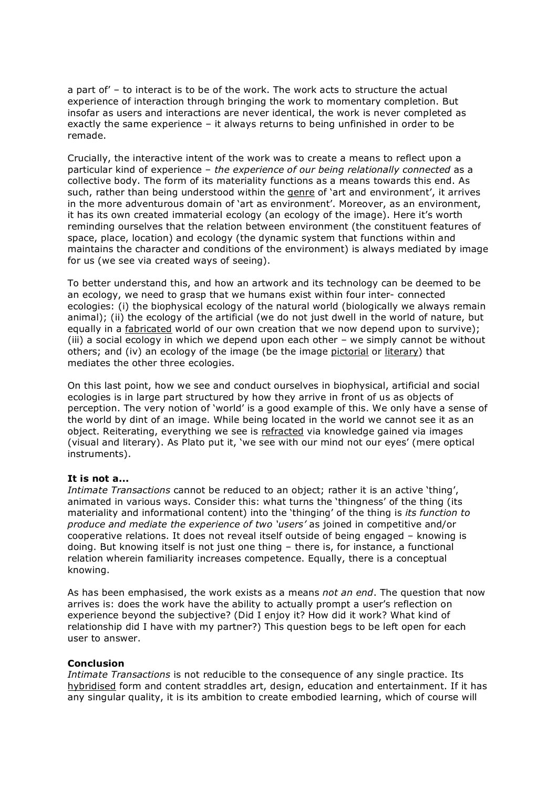a part of' – to interact is to be of the work. The work acts to structure the actual experience of interaction through bringing the work to momentary completion. But insofar as users and interactions are never identical, the work is never completed as exactly the same experience – it always returns to being unfinished in order to be remade.

Crucially, the interactive intent of the work was to create a means to reflect upon a particular kind of experience – *the experience of our being relationally connected* as a collective body. The form of its materiality functions as a means towards this end. As such, rather than being understood within the genre of 'art and environment', it arrives in the more adventurous domain of 'art as environment'. Moreover, as an environment, it has its own created immaterial ecology (an ecology of the image). Here it's worth reminding ourselves that the relation between environment (the constituent features of space, place, location) and ecology (the dynamic system that functions within and maintains the character and conditions of the environment) is always mediated by image for us (we see via created ways of seeing).

To better understand this, and how an artwork and its technology can be deemed to be an ecology, we need to grasp that we humans exist within four inter- connected ecologies: (i) the biophysical ecology of the natural world (biologically we always remain animal); (ii) the ecology of the artificial (we do not just dwell in the world of nature, but equally in a fabricated world of our own creation that we now depend upon to survive); (iii) a social ecology in which we depend upon each other – we simply cannot be without others; and (iv) an ecology of the image (be the image pictorial or literary) that mediates the other three ecologies.

On this last point, how we see and conduct ourselves in biophysical, artificial and social ecologies is in large part structured by how they arrive in front of us as objects of perception. The very notion of 'world' is a good example of this. We only have a sense of the world by dint of an image. While being located in the world we cannot see it as an object. Reiterating, everything we see is refracted via knowledge gained via images (visual and literary). As Plato put it, 'we see with our mind not our eyes' (mere optical instruments).

# **It is not a...**

*Intimate Transactions* cannot be reduced to an object; rather it is an active 'thing', animated in various ways. Consider this: what turns the 'thingness' of the thing (its materiality and informational content) into the 'thinging' of the thing is *its function to produce and mediate the experience of two 'users'* as joined in competitive and/or cooperative relations. It does not reveal itself outside of being engaged – knowing is doing. But knowing itself is not just one thing – there is, for instance, a functional relation wherein familiarity increases competence. Equally, there is a conceptual knowing.

As has been emphasised, the work exists as a means *not an end*. The question that now arrives is: does the work have the ability to actually prompt a user's reflection on experience beyond the subjective? (Did I enjoy it? How did it work? What kind of relationship did I have with my partner?) This question begs to be left open for each user to answer.

## **Conclusion**

*Intimate Transactions* is not reducible to the consequence of any single practice. Its hybridised form and content straddles art, design, education and entertainment. If it has any singular quality, it is its ambition to create embodied learning, which of course will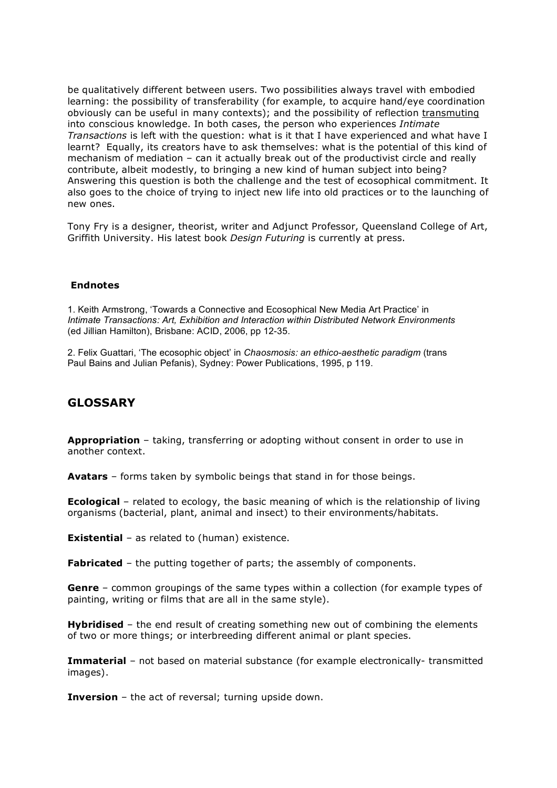be qualitatively different between users. Two possibilities always travel with embodied learning: the possibility of transferability (for example, to acquire hand/eye coordination obviously can be useful in many contexts); and the possibility of reflection transmuting into conscious knowledge. In both cases, the person who experiences *Intimate Transactions* is left with the question: what is it that I have experienced and what have I learnt? Equally, its creators have to ask themselves: what is the potential of this kind of mechanism of mediation – can it actually break out of the productivist circle and really contribute, albeit modestly, to bringing a new kind of human subject into being? Answering this question is both the challenge and the test of ecosophical commitment. It also goes to the choice of trying to inject new life into old practices or to the launching of new ones.

Tony Fry is a designer, theorist, writer and Adjunct Professor, Queensland College of Art, Griffith University. His latest book *Design Futuring* is currently at press.

#### **Endnotes**

1. Keith Armstrong, 'Towards a Connective and Ecosophical New Media Art Practice' in *Intimate Transactions: Art, Exhibition and Interaction within Distributed Network Environments* (ed Jillian Hamilton), Brisbane: ACID, 2006, pp 12-35.

2. Felix Guattari, 'The ecosophic object' in *Chaosmosis: an ethico-aesthetic paradigm* (trans Paul Bains and Julian Pefanis), Sydney: Power Publications, 1995, p 119.

# **GLOSSARY**

**Appropriation** – taking, transferring or adopting without consent in order to use in another context.

**Avatars** – forms taken by symbolic beings that stand in for those beings.

**Ecological** – related to ecology, the basic meaning of which is the relationship of living organisms (bacterial, plant, animal and insect) to their environments/habitats.

**Existential** – as related to (human) existence.

**Fabricated** – the putting together of parts; the assembly of components.

**Genre** – common groupings of the same types within a collection (for example types of painting, writing or films that are all in the same style).

**Hybridised** – the end result of creating something new out of combining the elements of two or more things; or interbreeding different animal or plant species.

**Immaterial** – not based on material substance (for example electronically- transmitted images).

**Inversion** – the act of reversal; turning upside down.